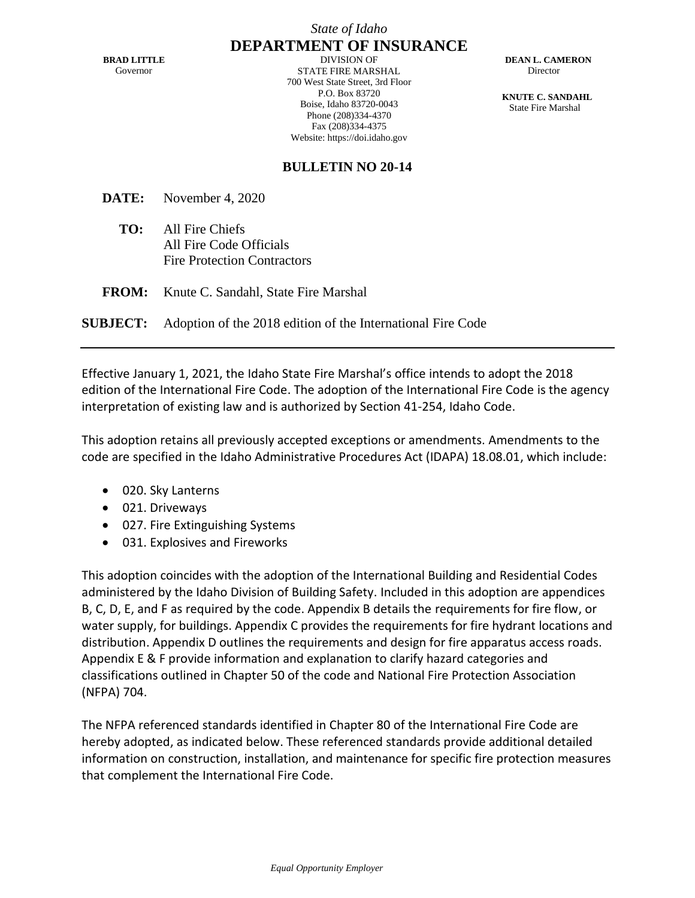*State of Idaho*

**BRAD LITTLE** Governor

**DEPARTMENT OF INSURANCE** DIVISION OF STATE FIRE MARSHAL 700 West State Street, 3rd Floor P.O. Box 83720 Boise, Idaho 83720-0043 Phone (208)334-4370 Fax (208)334-4375 Website: https://doi.idaho.gov

 **DEAN L. CAMERON** Director

 **KNUTE C. SANDAHL** State Fire Marshal

## **BULLETIN NO 20-14**

**DATE:** November 4, 2020

- **TO:** All Fire Chiefs All Fire Code Officials Fire Protection Contractors
- **FROM:** Knute C. Sandahl, State Fire Marshal

**SUBJECT:** Adoption of the 2018 edition of the International Fire Code

Effective January 1, 2021, the Idaho State Fire Marshal's office intends to adopt the 2018 edition of the International Fire Code. The adoption of the International Fire Code is the agency interpretation of existing law and is authorized by Section 41-254, Idaho Code.

This adoption retains all previously accepted exceptions or amendments. Amendments to the code are specified in the Idaho Administrative Procedures Act (IDAPA) 18.08.01, which include:

- 020. Sky Lanterns
- 021. Driveways
- 027. Fire Extinguishing Systems
- 031. Explosives and Fireworks

This adoption coincides with the adoption of the International Building and Residential Codes administered by the Idaho Division of Building Safety. Included in this adoption are appendices B, C, D, E, and F as required by the code. Appendix B details the requirements for fire flow, or water supply, for buildings. Appendix C provides the requirements for fire hydrant locations and distribution. Appendix D outlines the requirements and design for fire apparatus access roads. Appendix E & F provide information and explanation to clarify hazard categories and classifications outlined in Chapter 50 of the code and National Fire Protection Association (NFPA) 704.

The NFPA referenced standards identified in Chapter 80 of the International Fire Code are hereby adopted, as indicated below. These referenced standards provide additional detailed information on construction, installation, and maintenance for specific fire protection measures that complement the International Fire Code.